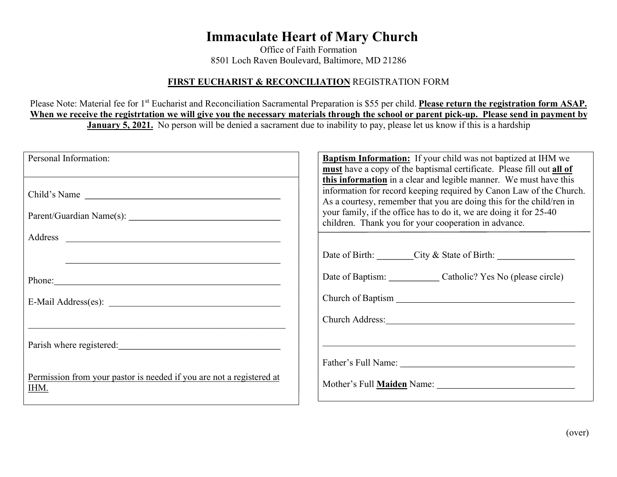## Immaculate Heart of Mary Church

Office of Faith Formation 8501 Loch Raven Boulevard, Baltimore, MD 21286

## FIRST EUCHARIST & RECONCILIATION REGISTRATION FORM

Please Note: Material fee for 1<sup>st</sup> Eucharist and Reconciliation Sacramental Preparation is \$55 per child. Please return the registration form ASAP. When we receive the registrtation we will give you the necessary materials through the school or parent pick-up. Please send in payment by January 5, 2021. No person will be denied a sacrament due to inability to pay, please let us know if this is a hardship

| Personal Information:                                                                                                                                                                                                          | <b>Baptism Information:</b> If your child was not baptized at IHM we<br>must have a copy of the baptismal certificate. Please fill out all of                                                                    |  |
|--------------------------------------------------------------------------------------------------------------------------------------------------------------------------------------------------------------------------------|------------------------------------------------------------------------------------------------------------------------------------------------------------------------------------------------------------------|--|
| Child's Name                                                                                                                                                                                                                   | this information in a clear and legible manner. We must have this<br>information for record keeping required by Canon Law of the Church.<br>As a courtesy, remember that you are doing this for the child/ren in |  |
|                                                                                                                                                                                                                                | your family, if the office has to do it, we are doing it for 25-40<br>children. Thank you for your cooperation in advance.                                                                                       |  |
|                                                                                                                                                                                                                                |                                                                                                                                                                                                                  |  |
|                                                                                                                                                                                                                                | Date of Birth: City & State of Birth: City & State of Birth:                                                                                                                                                     |  |
| Phone: 2008 and 2008 and 2008 and 2008 and 2008 and 2008 and 2008 and 2008 and 2008 and 2008 and 2008 and 2008 and 2008 and 2008 and 2008 and 2008 and 2008 and 2008 and 2008 and 2008 and 2008 and 2008 and 2008 and 2008 and | Date of Baptism: Catholic? Yes No (please circle)                                                                                                                                                                |  |
|                                                                                                                                                                                                                                |                                                                                                                                                                                                                  |  |
|                                                                                                                                                                                                                                |                                                                                                                                                                                                                  |  |
| Parish where registered:                                                                                                                                                                                                       |                                                                                                                                                                                                                  |  |
|                                                                                                                                                                                                                                |                                                                                                                                                                                                                  |  |
| Permission from your pastor is needed if you are not a registered at<br>IHM.                                                                                                                                                   | Mother's Full <b>Maiden</b> Name:                                                                                                                                                                                |  |